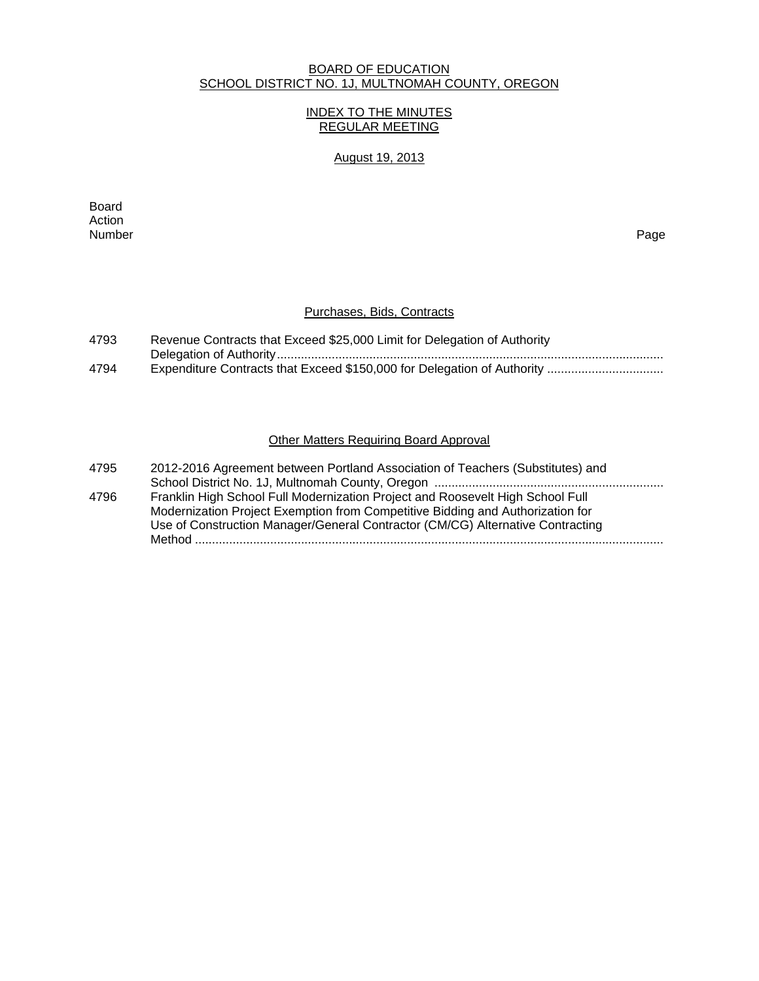## BOARD OF EDUCATION SCHOOL DISTRICT NO. 1J, MULTNOMAH COUNTY, OREGON

## INDEX TO THE MINUTES REGULAR MEETING

## August 19, 2013

**Board Board** Action<br>Number Number Page

#### Purchases, Bids, Contracts

| 4793 | Revenue Contracts that Exceed \$25,000 Limit for Delegation of Authority |
|------|--------------------------------------------------------------------------|
|      |                                                                          |
| 4794 |                                                                          |

## Other Matters Requiring Board Approval

| 4795 | 2012-2016 Agreement between Portland Association of Teachers (Substitutes) and |
|------|--------------------------------------------------------------------------------|
|      |                                                                                |
| 4796 | Franklin High School Full Modernization Project and Roosevelt High School Full |
|      | Modernization Project Exemption from Competitive Bidding and Authorization for |
|      | Use of Construction Manager/General Contractor (CM/CG) Alternative Contracting |
|      |                                                                                |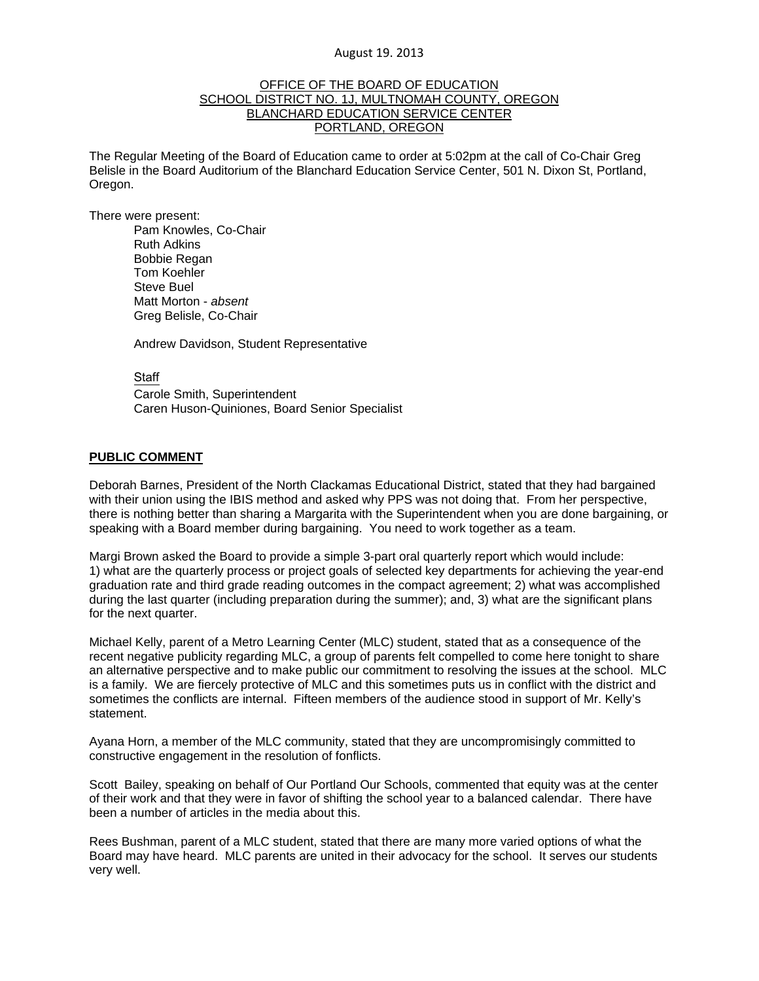## OFFICE OF THE BOARD OF EDUCATION SCHOOL DISTRICT NO. 1J, MULTNOMAH COUNTY, OREGON BLANCHARD EDUCATION SERVICE CENTER PORTLAND, OREGON

The Regular Meeting of the Board of Education came to order at 5:02pm at the call of Co-Chair Greg Belisle in the Board Auditorium of the Blanchard Education Service Center, 501 N. Dixon St, Portland, Oregon.

There were present: Pam Knowles, Co-Chair Ruth Adkins Bobbie Regan Tom Koehler Steve Buel Matt Morton - *absent* Greg Belisle, Co-Chair

Andrew Davidson, Student Representative

#### **Staff**

 Carole Smith, Superintendent Caren Huson-Quiniones, Board Senior Specialist

## **PUBLIC COMMENT**

Deborah Barnes, President of the North Clackamas Educational District, stated that they had bargained with their union using the IBIS method and asked why PPS was not doing that. From her perspective, there is nothing better than sharing a Margarita with the Superintendent when you are done bargaining, or speaking with a Board member during bargaining. You need to work together as a team.

Margi Brown asked the Board to provide a simple 3-part oral quarterly report which would include: 1) what are the quarterly process or project goals of selected key departments for achieving the year-end graduation rate and third grade reading outcomes in the compact agreement; 2) what was accomplished during the last quarter (including preparation during the summer); and, 3) what are the significant plans for the next quarter.

Michael Kelly, parent of a Metro Learning Center (MLC) student, stated that as a consequence of the recent negative publicity regarding MLC, a group of parents felt compelled to come here tonight to share an alternative perspective and to make public our commitment to resolving the issues at the school. MLC is a family. We are fiercely protective of MLC and this sometimes puts us in conflict with the district and sometimes the conflicts are internal. Fifteen members of the audience stood in support of Mr. Kelly's statement.

Ayana Horn, a member of the MLC community, stated that they are uncompromisingly committed to constructive engagement in the resolution of fonflicts.

Scott Bailey, speaking on behalf of Our Portland Our Schools, commented that equity was at the center of their work and that they were in favor of shifting the school year to a balanced calendar. There have been a number of articles in the media about this.

Rees Bushman, parent of a MLC student, stated that there are many more varied options of what the Board may have heard. MLC parents are united in their advocacy for the school. It serves our students very well.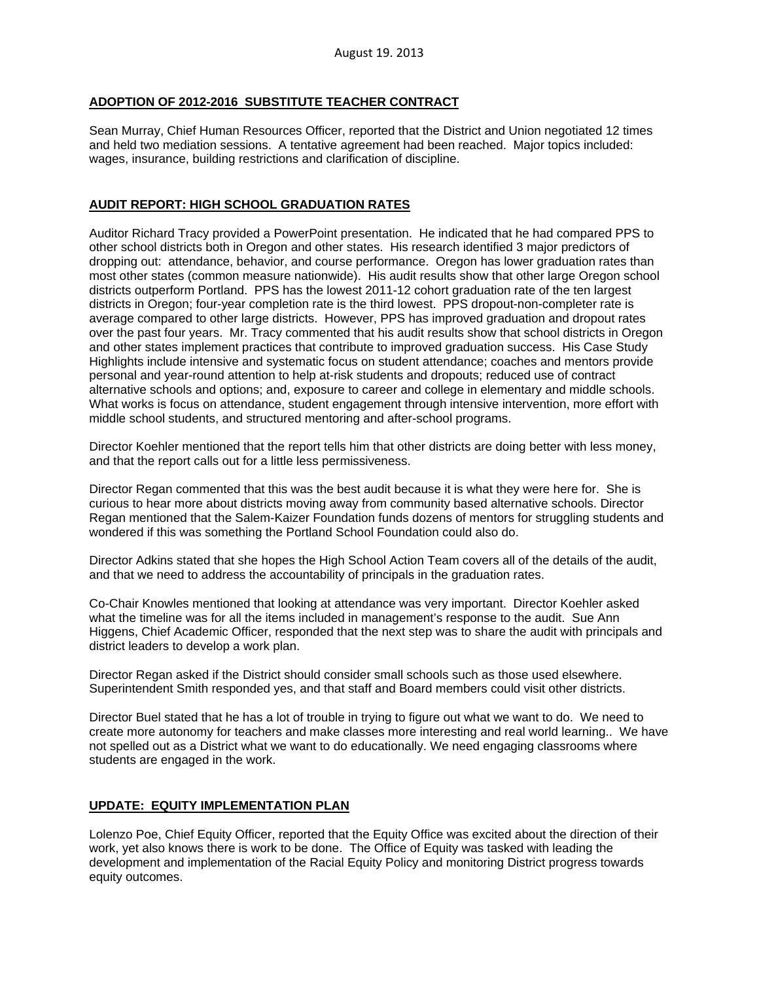## **ADOPTION OF 2012-2016 SUBSTITUTE TEACHER CONTRACT**

Sean Murray, Chief Human Resources Officer, reported that the District and Union negotiated 12 times and held two mediation sessions. A tentative agreement had been reached. Major topics included: wages, insurance, building restrictions and clarification of discipline.

## **AUDIT REPORT: HIGH SCHOOL GRADUATION RATES**

Auditor Richard Tracy provided a PowerPoint presentation. He indicated that he had compared PPS to other school districts both in Oregon and other states. His research identified 3 major predictors of dropping out: attendance, behavior, and course performance. Oregon has lower graduation rates than most other states (common measure nationwide). His audit results show that other large Oregon school districts outperform Portland. PPS has the lowest 2011-12 cohort graduation rate of the ten largest districts in Oregon; four-year completion rate is the third lowest. PPS dropout-non-completer rate is average compared to other large districts. However, PPS has improved graduation and dropout rates over the past four years. Mr. Tracy commented that his audit results show that school districts in Oregon and other states implement practices that contribute to improved graduation success. His Case Study Highlights include intensive and systematic focus on student attendance; coaches and mentors provide personal and year-round attention to help at-risk students and dropouts; reduced use of contract alternative schools and options; and, exposure to career and college in elementary and middle schools. What works is focus on attendance, student engagement through intensive intervention, more effort with middle school students, and structured mentoring and after-school programs.

Director Koehler mentioned that the report tells him that other districts are doing better with less money, and that the report calls out for a little less permissiveness.

Director Regan commented that this was the best audit because it is what they were here for. She is curious to hear more about districts moving away from community based alternative schools. Director Regan mentioned that the Salem-Kaizer Foundation funds dozens of mentors for struggling students and wondered if this was something the Portland School Foundation could also do.

Director Adkins stated that she hopes the High School Action Team covers all of the details of the audit, and that we need to address the accountability of principals in the graduation rates.

Co-Chair Knowles mentioned that looking at attendance was very important. Director Koehler asked what the timeline was for all the items included in management's response to the audit. Sue Ann Higgens, Chief Academic Officer, responded that the next step was to share the audit with principals and district leaders to develop a work plan.

Director Regan asked if the District should consider small schools such as those used elsewhere. Superintendent Smith responded yes, and that staff and Board members could visit other districts.

Director Buel stated that he has a lot of trouble in trying to figure out what we want to do. We need to create more autonomy for teachers and make classes more interesting and real world learning.. We have not spelled out as a District what we want to do educationally. We need engaging classrooms where students are engaged in the work.

## **UPDATE: EQUITY IMPLEMENTATION PLAN**

Lolenzo Poe, Chief Equity Officer, reported that the Equity Office was excited about the direction of their work, yet also knows there is work to be done. The Office of Equity was tasked with leading the development and implementation of the Racial Equity Policy and monitoring District progress towards equity outcomes.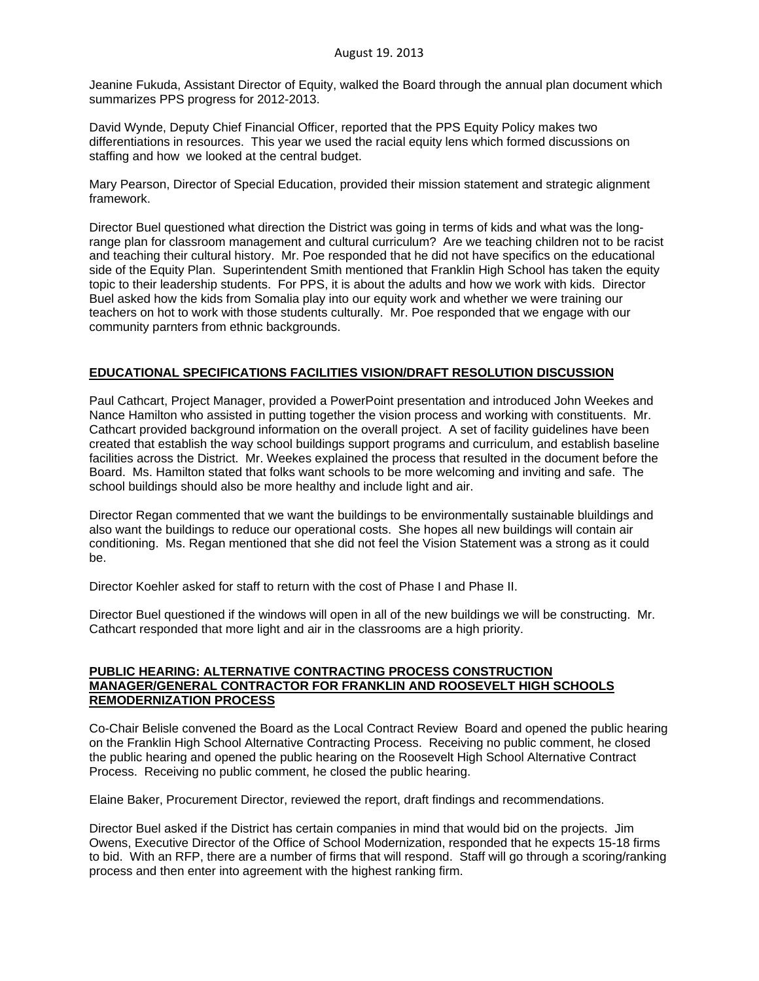Jeanine Fukuda, Assistant Director of Equity, walked the Board through the annual plan document which summarizes PPS progress for 2012-2013.

David Wynde, Deputy Chief Financial Officer, reported that the PPS Equity Policy makes two differentiations in resources. This year we used the racial equity lens which formed discussions on staffing and how we looked at the central budget.

Mary Pearson, Director of Special Education, provided their mission statement and strategic alignment framework.

Director Buel questioned what direction the District was going in terms of kids and what was the longrange plan for classroom management and cultural curriculum? Are we teaching children not to be racist and teaching their cultural history. Mr. Poe responded that he did not have specifics on the educational side of the Equity Plan. Superintendent Smith mentioned that Franklin High School has taken the equity topic to their leadership students. For PPS, it is about the adults and how we work with kids. Director Buel asked how the kids from Somalia play into our equity work and whether we were training our teachers on hot to work with those students culturally. Mr. Poe responded that we engage with our community parnters from ethnic backgrounds.

## **EDUCATIONAL SPECIFICATIONS FACILITIES VISION/DRAFT RESOLUTION DISCUSSION**

Paul Cathcart, Project Manager, provided a PowerPoint presentation and introduced John Weekes and Nance Hamilton who assisted in putting together the vision process and working with constituents. Mr. Cathcart provided background information on the overall project. A set of facility guidelines have been created that establish the way school buildings support programs and curriculum, and establish baseline facilities across the District. Mr. Weekes explained the process that resulted in the document before the Board. Ms. Hamilton stated that folks want schools to be more welcoming and inviting and safe. The school buildings should also be more healthy and include light and air.

Director Regan commented that we want the buildings to be environmentally sustainable bluildings and also want the buildings to reduce our operational costs. She hopes all new buildings will contain air conditioning. Ms. Regan mentioned that she did not feel the Vision Statement was a strong as it could be.

Director Koehler asked for staff to return with the cost of Phase I and Phase II.

Director Buel questioned if the windows will open in all of the new buildings we will be constructing. Mr. Cathcart responded that more light and air in the classrooms are a high priority.

## **PUBLIC HEARING: ALTERNATIVE CONTRACTING PROCESS CONSTRUCTION MANAGER/GENERAL CONTRACTOR FOR FRANKLIN AND ROOSEVELT HIGH SCHOOLS REMODERNIZATION PROCESS**

Co-Chair Belisle convened the Board as the Local Contract Review Board and opened the public hearing on the Franklin High School Alternative Contracting Process. Receiving no public comment, he closed the public hearing and opened the public hearing on the Roosevelt High School Alternative Contract Process. Receiving no public comment, he closed the public hearing.

Elaine Baker, Procurement Director, reviewed the report, draft findings and recommendations.

Director Buel asked if the District has certain companies in mind that would bid on the projects. Jim Owens, Executive Director of the Office of School Modernization, responded that he expects 15-18 firms to bid. With an RFP, there are a number of firms that will respond. Staff will go through a scoring/ranking process and then enter into agreement with the highest ranking firm.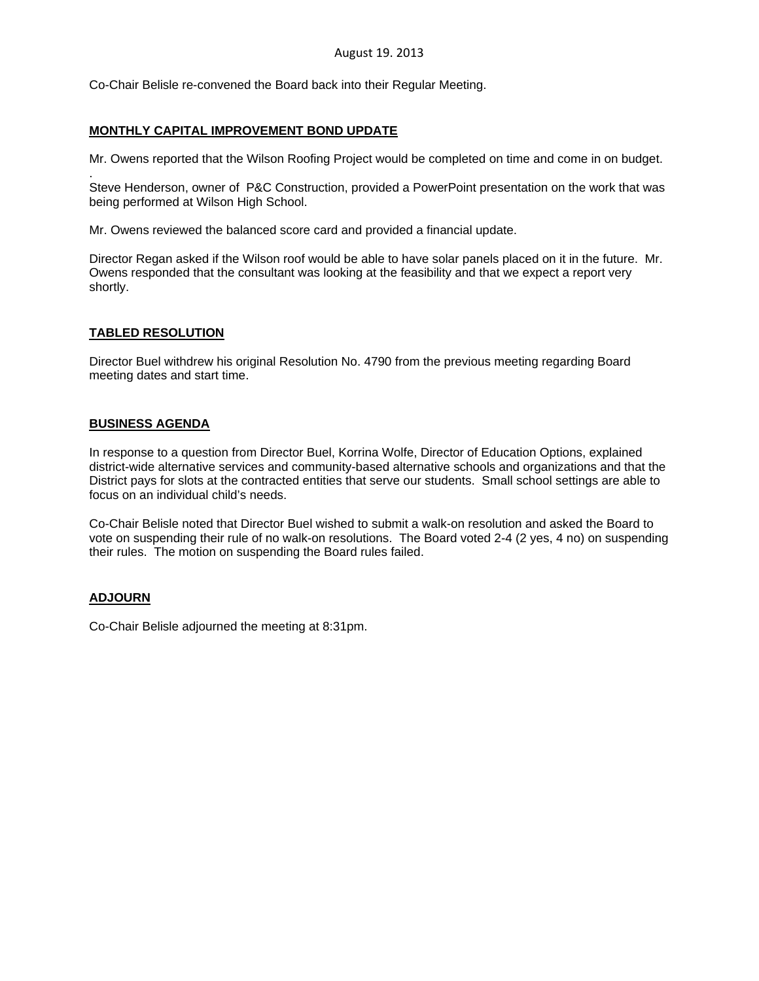Co-Chair Belisle re-convened the Board back into their Regular Meeting.

## **MONTHLY CAPITAL IMPROVEMENT BOND UPDATE**

Mr. Owens reported that the Wilson Roofing Project would be completed on time and come in on budget.

. Steve Henderson, owner of P&C Construction, provided a PowerPoint presentation on the work that was being performed at Wilson High School.

Mr. Owens reviewed the balanced score card and provided a financial update.

Director Regan asked if the Wilson roof would be able to have solar panels placed on it in the future. Mr. Owens responded that the consultant was looking at the feasibility and that we expect a report very shortly.

## **TABLED RESOLUTION**

Director Buel withdrew his original Resolution No. 4790 from the previous meeting regarding Board meeting dates and start time.

## **BUSINESS AGENDA**

In response to a question from Director Buel, Korrina Wolfe, Director of Education Options, explained district-wide alternative services and community-based alternative schools and organizations and that the District pays for slots at the contracted entities that serve our students. Small school settings are able to focus on an individual child's needs.

Co-Chair Belisle noted that Director Buel wished to submit a walk-on resolution and asked the Board to vote on suspending their rule of no walk-on resolutions. The Board voted 2-4 (2 yes, 4 no) on suspending their rules. The motion on suspending the Board rules failed.

## **ADJOURN**

Co-Chair Belisle adjourned the meeting at 8:31pm.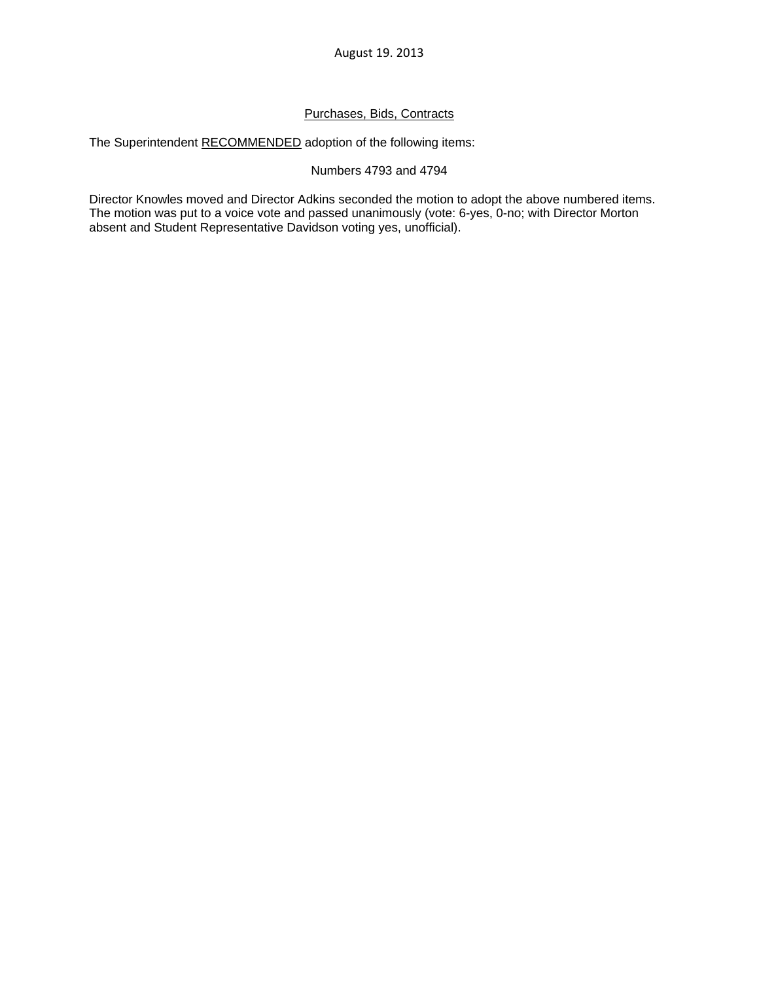## Purchases, Bids, Contracts

The Superintendent RECOMMENDED adoption of the following items:

## Numbers 4793 and 4794

Director Knowles moved and Director Adkins seconded the motion to adopt the above numbered items. The motion was put to a voice vote and passed unanimously (vote: 6-yes, 0-no; with Director Morton absent and Student Representative Davidson voting yes, unofficial).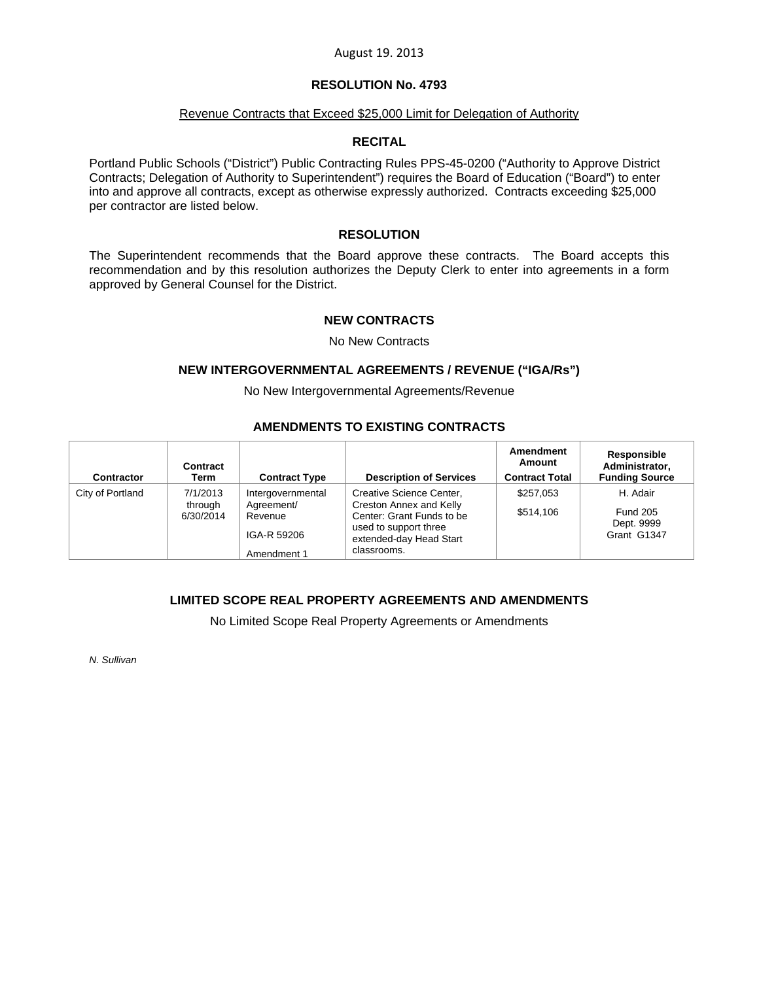## **RESOLUTION No. 4793**

#### Revenue Contracts that Exceed \$25,000 Limit for Delegation of Authority

## **RECITAL**

Portland Public Schools ("District") Public Contracting Rules PPS-45-0200 ("Authority to Approve District Contracts; Delegation of Authority to Superintendent") requires the Board of Education ("Board") to enter into and approve all contracts, except as otherwise expressly authorized. Contracts exceeding \$25,000 per contractor are listed below.

## **RESOLUTION**

The Superintendent recommends that the Board approve these contracts. The Board accepts this recommendation and by this resolution authorizes the Deputy Clerk to enter into agreements in a form approved by General Counsel for the District.

## **NEW CONTRACTS**

#### No New Contracts

#### **NEW INTERGOVERNMENTAL AGREEMENTS / REVENUE ("IGA/Rs")**

No New Intergovernmental Agreements/Revenue

## **AMENDMENTS TO EXISTING CONTRACTS**

| Contractor       | Contract<br>Term                 | <b>Contract Type</b>                                                     | <b>Description of Services</b>                                                                                                                             | Amendment<br>Amount<br><b>Contract Total</b> | Responsible<br>Administrator,<br><b>Funding Source</b>   |
|------------------|----------------------------------|--------------------------------------------------------------------------|------------------------------------------------------------------------------------------------------------------------------------------------------------|----------------------------------------------|----------------------------------------------------------|
| City of Portland | 7/1/2013<br>through<br>6/30/2014 | Intergovernmental<br>Agreement/<br>Revenue<br>IGA-R 59206<br>Amendment 1 | Creative Science Center,<br><b>Creston Annex and Kelly</b><br>Center: Grant Funds to be<br>used to support three<br>extended-day Head Start<br>classrooms. | \$257.053<br>\$514,106                       | H. Adair<br><b>Fund 205</b><br>Dept. 9999<br>Grant G1347 |

## **LIMITED SCOPE REAL PROPERTY AGREEMENTS AND AMENDMENTS**

No Limited Scope Real Property Agreements or Amendments

*N. Sullivan*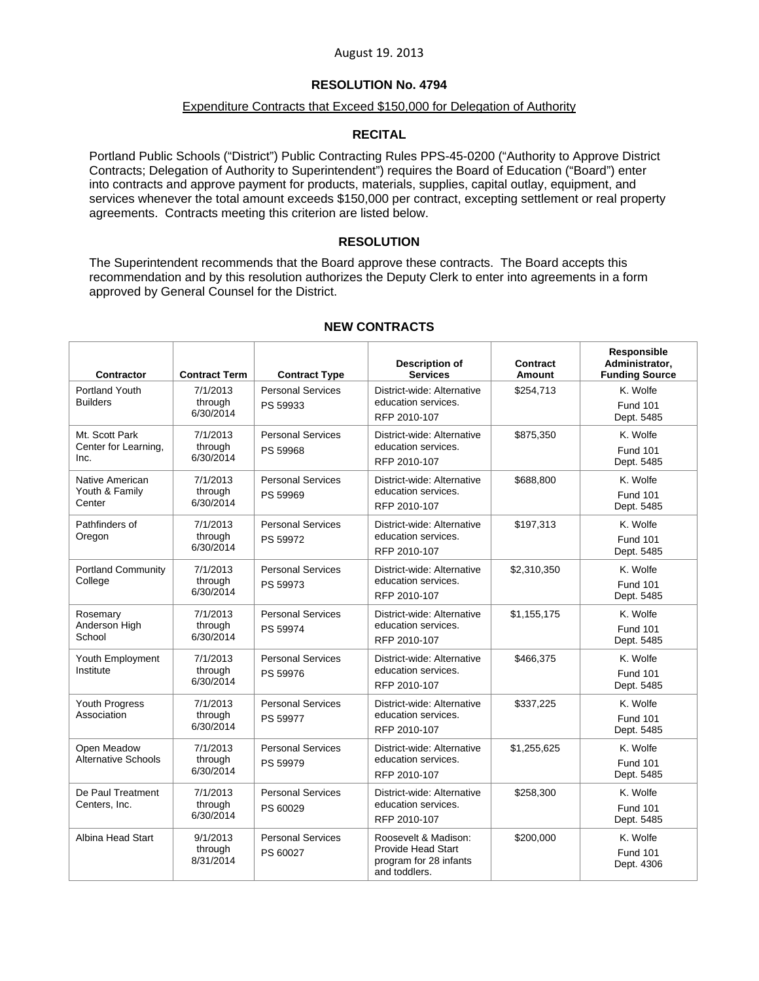## **RESOLUTION No. 4794**

## Expenditure Contracts that Exceed \$150,000 for Delegation of Authority

## **RECITAL**

Portland Public Schools ("District") Public Contracting Rules PPS-45-0200 ("Authority to Approve District Contracts; Delegation of Authority to Superintendent") requires the Board of Education ("Board") enter into contracts and approve payment for products, materials, supplies, capital outlay, equipment, and services whenever the total amount exceeds \$150,000 per contract, excepting settlement or real property agreements. Contracts meeting this criterion are listed below.

#### **RESOLUTION**

The Superintendent recommends that the Board approve these contracts. The Board accepts this recommendation and by this resolution authorizes the Deputy Clerk to enter into agreements in a form approved by General Counsel for the District.

| <b>Contractor</b>                      | <b>Contract Term</b> | <b>Contract Type</b>                 | <b>Description of</b><br><b>Services</b>                             | Contract<br><b>Amount</b> | <b>Responsible</b><br>Administrator.<br><b>Funding Source</b> |
|----------------------------------------|----------------------|--------------------------------------|----------------------------------------------------------------------|---------------------------|---------------------------------------------------------------|
| Portland Youth                         | 7/1/2013             | <b>Personal Services</b>             | District-wide: Alternative                                           | \$254,713                 | K. Wolfe                                                      |
| <b>Builders</b>                        | through<br>6/30/2014 | PS 59933                             | education services.<br>RFP 2010-107                                  |                           | <b>Fund 101</b><br>Dept. 5485                                 |
|                                        |                      |                                      |                                                                      |                           |                                                               |
| Mt. Scott Park<br>Center for Learning, | 7/1/2013<br>through  | <b>Personal Services</b><br>PS 59968 | District-wide: Alternative<br>education services.                    | \$875,350                 | K. Wolfe<br><b>Fund 101</b>                                   |
| Inc.                                   | 6/30/2014            |                                      | RFP 2010-107                                                         |                           | Dept. 5485                                                    |
| Native American                        | 7/1/2013             | <b>Personal Services</b>             | District-wide: Alternative                                           | \$688,800                 | K. Wolfe                                                      |
| Youth & Family<br>Center               | through<br>6/30/2014 | PS 59969                             | education services.<br>RFP 2010-107                                  |                           | <b>Fund 101</b><br>Dept. 5485                                 |
| Pathfinders of                         | 7/1/2013             | <b>Personal Services</b>             | District-wide: Alternative                                           | \$197,313                 | K. Wolfe                                                      |
| Oregon                                 | through<br>6/30/2014 | PS 59972                             | education services.<br>RFP 2010-107                                  |                           | <b>Fund 101</b><br>Dept. 5485                                 |
| <b>Portland Community</b>              | 7/1/2013             | <b>Personal Services</b>             | District-wide: Alternative                                           | \$2,310,350               | K. Wolfe                                                      |
| College                                | through<br>6/30/2014 | PS 59973                             | education services.<br>RFP 2010-107                                  |                           | <b>Fund 101</b><br>Dept. 5485                                 |
| Rosemary                               | 7/1/2013             | <b>Personal Services</b>             | District-wide: Alternative                                           | \$1,155,175               | K. Wolfe                                                      |
| Anderson High<br>School                | through<br>6/30/2014 | PS 59974                             | education services.                                                  |                           | <b>Fund 101</b>                                               |
|                                        |                      |                                      | RFP 2010-107                                                         |                           | Dept. 5485                                                    |
| Youth Employment<br>Institute          | 7/1/2013<br>through  | <b>Personal Services</b>             | District-wide: Alternative<br>education services.                    | \$466,375                 | K. Wolfe                                                      |
|                                        | 6/30/2014            | PS 59976                             | RFP 2010-107                                                         |                           | <b>Fund 101</b><br>Dept. 5485                                 |
| Youth Progress                         | 7/1/2013             | <b>Personal Services</b>             | District-wide: Alternative                                           | \$337,225                 | K. Wolfe                                                      |
| Association                            | through<br>6/30/2014 | PS 59977                             | education services.<br>RFP 2010-107                                  |                           | <b>Fund 101</b><br>Dept. 5485                                 |
| Open Meadow                            | 7/1/2013             | <b>Personal Services</b>             | District-wide: Alternative                                           | \$1,255,625               | K. Wolfe                                                      |
| Alternative Schools                    | through<br>6/30/2014 | PS 59979                             | education services.<br>RFP 2010-107                                  |                           | <b>Fund 101</b><br>Dept. 5485                                 |
| De Paul Treatment                      | 7/1/2013             | <b>Personal Services</b>             | District-wide: Alternative                                           | \$258,300                 | K. Wolfe                                                      |
| Centers, Inc.                          | through<br>6/30/2014 | PS 60029                             | education services.<br>RFP 2010-107                                  |                           | <b>Fund 101</b><br>Dept. 5485                                 |
| Albina Head Start                      | 9/1/2013             | <b>Personal Services</b>             | Roosevelt & Madison:                                                 | \$200,000                 | K. Wolfe                                                      |
|                                        | through<br>8/31/2014 | PS 60027                             | <b>Provide Head Start</b><br>program for 28 infants<br>and toddlers. |                           | <b>Fund 101</b><br>Dept. 4306                                 |

## **NEW CONTRACTS**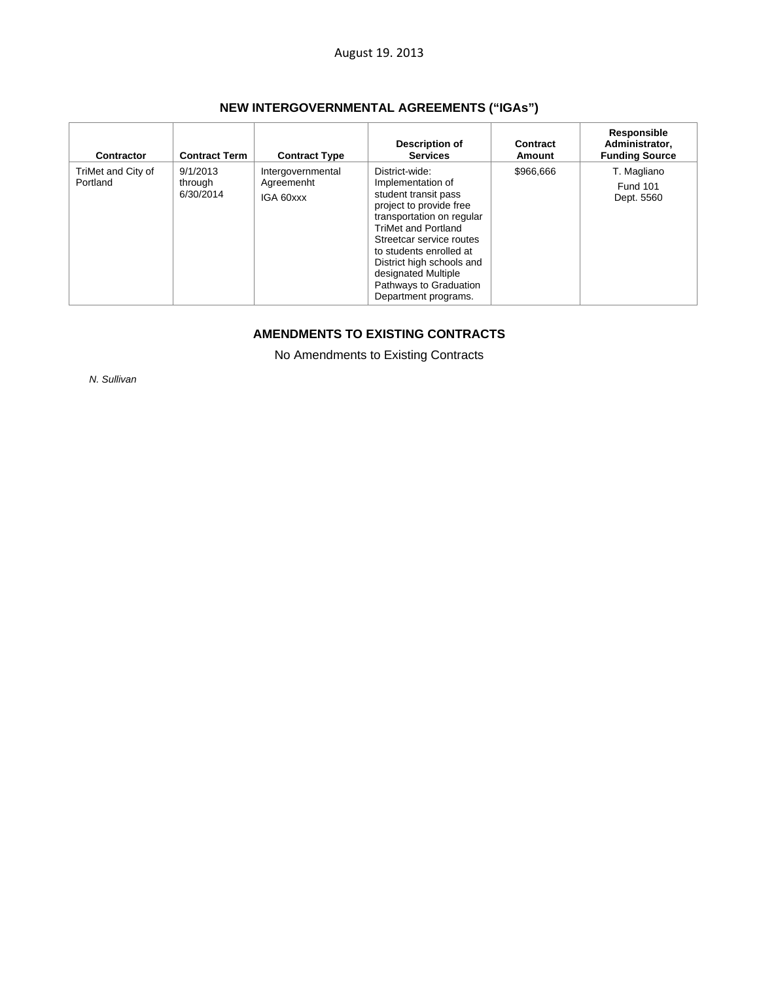| <b>NEW INTERGOVERNMENTAL AGREEMENTS ("IGAs")</b> |  |  |
|--------------------------------------------------|--|--|
|--------------------------------------------------|--|--|

| Contractor                     | <b>Contract Term</b>             | <b>Contract Type</b>                         | Description of<br><b>Services</b>                                                                                                                                                                                                                                                                              | Contract<br>Amount | Responsible<br>Administrator,<br><b>Funding Source</b> |
|--------------------------------|----------------------------------|----------------------------------------------|----------------------------------------------------------------------------------------------------------------------------------------------------------------------------------------------------------------------------------------------------------------------------------------------------------------|--------------------|--------------------------------------------------------|
| TriMet and City of<br>Portland | 9/1/2013<br>through<br>6/30/2014 | Intergovernmental<br>Agreemenht<br>IGA 60xxx | District-wide:<br>Implementation of<br>student transit pass<br>project to provide free<br>transportation on regular<br><b>TriMet and Portland</b><br>Streetcar service routes<br>to students enrolled at<br>District high schools and<br>designated Multiple<br>Pathways to Graduation<br>Department programs. | \$966,666          | T. Magliano<br><b>Fund 101</b><br>Dept. 5560           |

# **AMENDMENTS TO EXISTING CONTRACTS**

No Amendments to Existing Contracts

*N. Sullivan*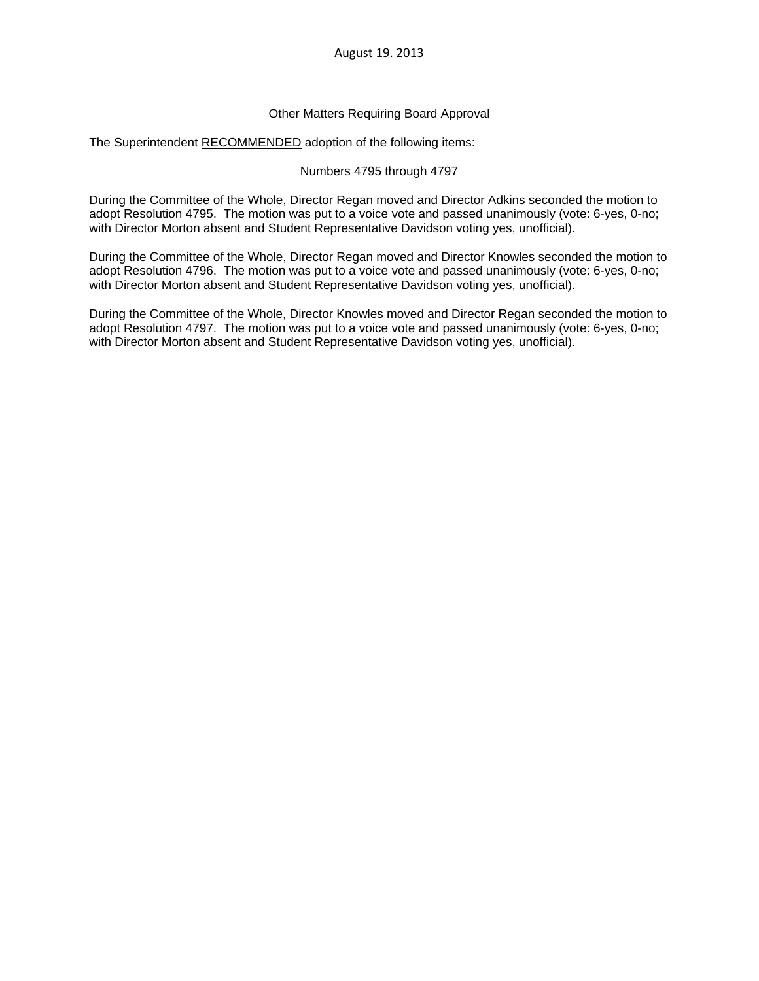## Other Matters Requiring Board Approval

The Superintendent RECOMMENDED adoption of the following items:

#### Numbers 4795 through 4797

During the Committee of the Whole, Director Regan moved and Director Adkins seconded the motion to adopt Resolution 4795. The motion was put to a voice vote and passed unanimously (vote: 6-yes, 0-no; with Director Morton absent and Student Representative Davidson voting yes, unofficial).

During the Committee of the Whole, Director Regan moved and Director Knowles seconded the motion to adopt Resolution 4796. The motion was put to a voice vote and passed unanimously (vote: 6-yes, 0-no; with Director Morton absent and Student Representative Davidson voting yes, unofficial).

During the Committee of the Whole, Director Knowles moved and Director Regan seconded the motion to adopt Resolution 4797. The motion was put to a voice vote and passed unanimously (vote: 6-yes, 0-no; with Director Morton absent and Student Representative Davidson voting yes, unofficial).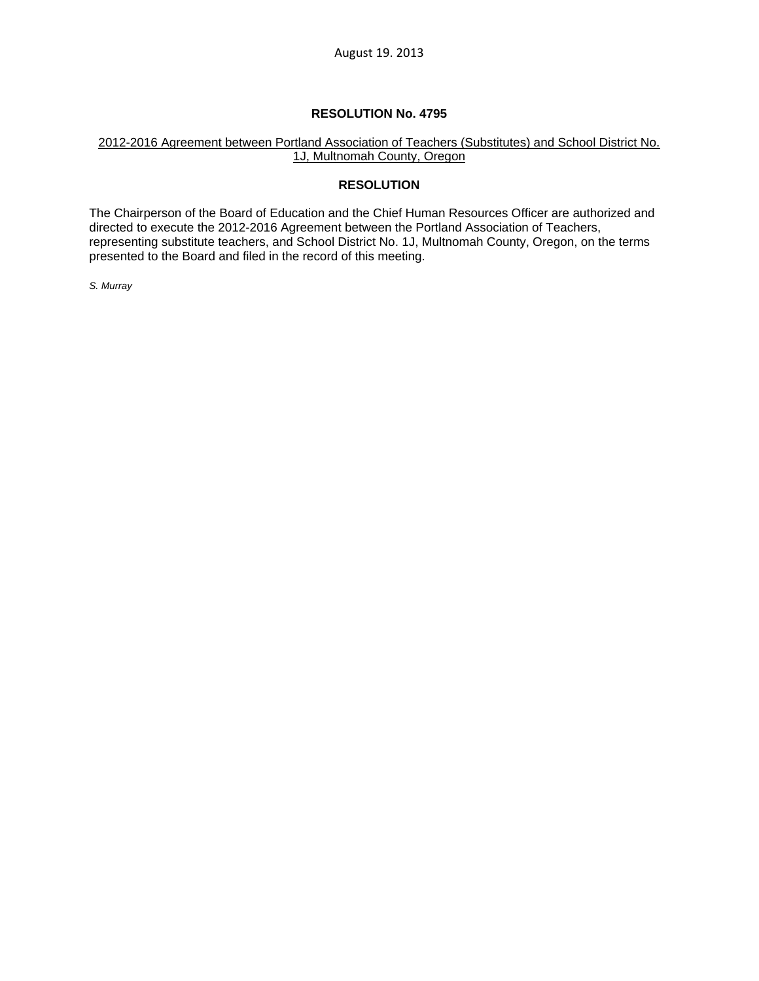## **RESOLUTION No. 4795**

## 2012-2016 Agreement between Portland Association of Teachers (Substitutes) and School District No. 1J, Multnomah County, Oregon

## **RESOLUTION**

The Chairperson of the Board of Education and the Chief Human Resources Officer are authorized and directed to execute the 2012-2016 Agreement between the Portland Association of Teachers, representing substitute teachers, and School District No. 1J, Multnomah County, Oregon, on the terms presented to the Board and filed in the record of this meeting.

*S. Murray*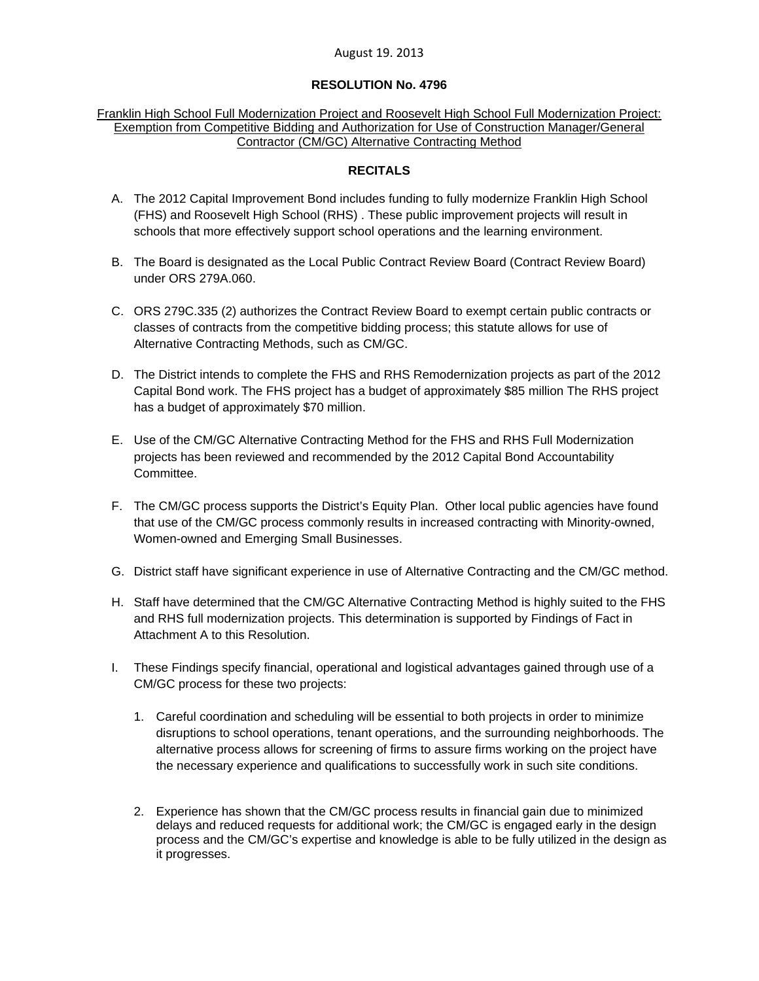## **RESOLUTION No. 4796**

Franklin High School Full Modernization Project and Roosevelt High School Full Modernization Project: Exemption from Competitive Bidding and Authorization for Use of Construction Manager/General Contractor (CM/GC) Alternative Contracting Method

## **RECITALS**

- A. The 2012 Capital Improvement Bond includes funding to fully modernize Franklin High School (FHS) and Roosevelt High School (RHS) . These public improvement projects will result in schools that more effectively support school operations and the learning environment.
- B. The Board is designated as the Local Public Contract Review Board (Contract Review Board) under ORS 279A.060.
- C. ORS 279C.335 (2) authorizes the Contract Review Board to exempt certain public contracts or classes of contracts from the competitive bidding process; this statute allows for use of Alternative Contracting Methods, such as CM/GC.
- D. The District intends to complete the FHS and RHS Remodernization projects as part of the 2012 Capital Bond work. The FHS project has a budget of approximately \$85 million The RHS project has a budget of approximately \$70 million.
- E. Use of the CM/GC Alternative Contracting Method for the FHS and RHS Full Modernization projects has been reviewed and recommended by the 2012 Capital Bond Accountability Committee.
- F. The CM/GC process supports the District's Equity Plan. Other local public agencies have found that use of the CM/GC process commonly results in increased contracting with Minority-owned, Women-owned and Emerging Small Businesses.
- G. District staff have significant experience in use of Alternative Contracting and the CM/GC method.
- H. Staff have determined that the CM/GC Alternative Contracting Method is highly suited to the FHS and RHS full modernization projects. This determination is supported by Findings of Fact in Attachment A to this Resolution.
- I. These Findings specify financial, operational and logistical advantages gained through use of a CM/GC process for these two projects:
	- 1. Careful coordination and scheduling will be essential to both projects in order to minimize disruptions to school operations, tenant operations, and the surrounding neighborhoods. The alternative process allows for screening of firms to assure firms working on the project have the necessary experience and qualifications to successfully work in such site conditions.
	- 2. Experience has shown that the CM/GC process results in financial gain due to minimized delays and reduced requests for additional work; the CM/GC is engaged early in the design process and the CM/GC's expertise and knowledge is able to be fully utilized in the design as it progresses.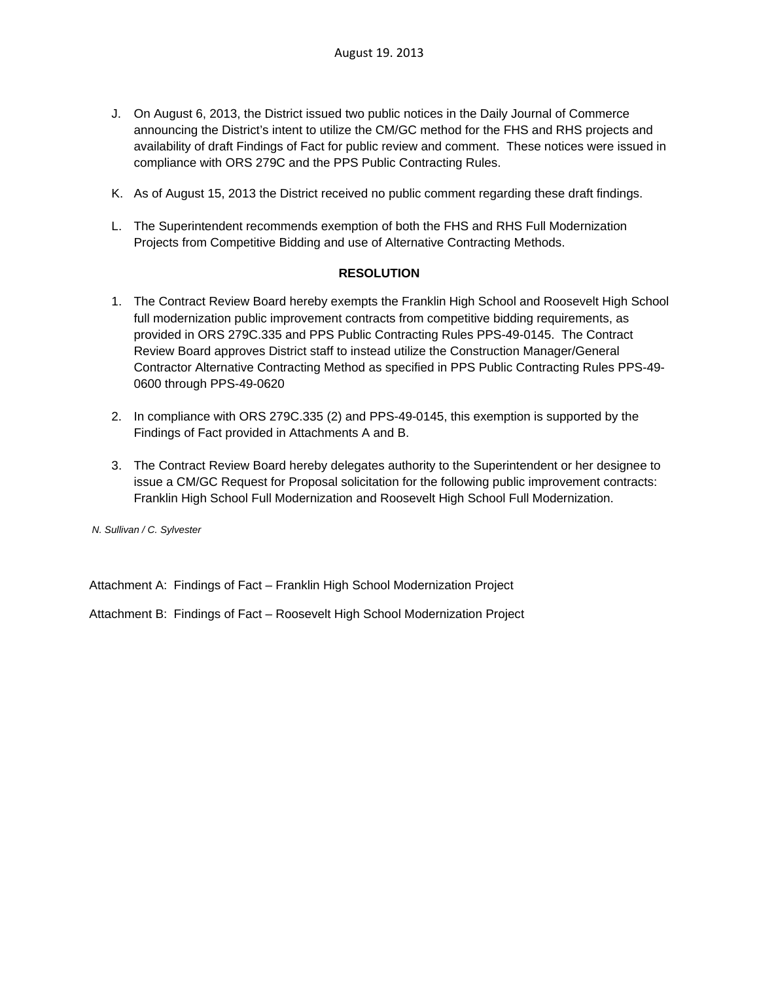- J. On August 6, 2013, the District issued two public notices in the Daily Journal of Commerce announcing the District's intent to utilize the CM/GC method for the FHS and RHS projects and availability of draft Findings of Fact for public review and comment. These notices were issued in compliance with ORS 279C and the PPS Public Contracting Rules.
- K. As of August 15, 2013 the District received no public comment regarding these draft findings.
- L. The Superintendent recommends exemption of both the FHS and RHS Full Modernization Projects from Competitive Bidding and use of Alternative Contracting Methods.

## **RESOLUTION**

- 1. The Contract Review Board hereby exempts the Franklin High School and Roosevelt High School full modernization public improvement contracts from competitive bidding requirements, as provided in ORS 279C.335 and PPS Public Contracting Rules PPS-49-0145. The Contract Review Board approves District staff to instead utilize the Construction Manager/General Contractor Alternative Contracting Method as specified in PPS Public Contracting Rules PPS-49- 0600 through PPS-49-0620
- 2. In compliance with ORS 279C.335 (2) and PPS-49-0145, this exemption is supported by the Findings of Fact provided in Attachments A and B.
- 3. The Contract Review Board hereby delegates authority to the Superintendent or her designee to issue a CM/GC Request for Proposal solicitation for the following public improvement contracts: Franklin High School Full Modernization and Roosevelt High School Full Modernization.

 *N. Sullivan / C. Sylvester* 

Attachment A: Findings of Fact – Franklin High School Modernization Project

Attachment B: Findings of Fact – Roosevelt High School Modernization Project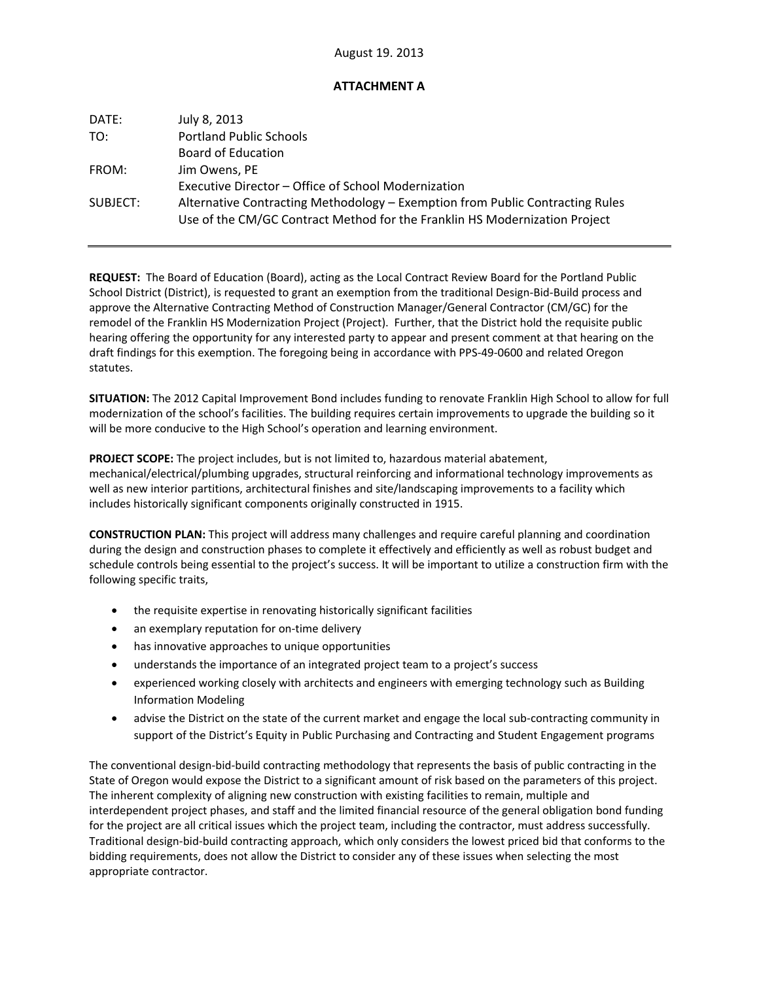## **ATTACHMENT A**

| DATE:    | July 8, 2013                                                                  |
|----------|-------------------------------------------------------------------------------|
| TO:      | <b>Portland Public Schools</b>                                                |
|          | Board of Education                                                            |
| FROM:    | Jim Owens, PE                                                                 |
|          | Executive Director – Office of School Modernization                           |
| SUBJECT: | Alternative Contracting Methodology – Exemption from Public Contracting Rules |
|          | Use of the CM/GC Contract Method for the Franklin HS Modernization Project    |

**REQUEST:** The Board of Education (Board), acting as the Local Contract Review Board for the Portland Public School District (District), is requested to grant an exemption from the traditional Design‐Bid‐Build process and approve the Alternative Contracting Method of Construction Manager/General Contractor (CM/GC) for the remodel of the Franklin HS Modernization Project (Project). Further, that the District hold the requisite public hearing offering the opportunity for any interested party to appear and present comment at that hearing on the draft findings for this exemption. The foregoing being in accordance with PPS‐49‐0600 and related Oregon statutes.

**SITUATION:** The 2012 Capital Improvement Bond includes funding to renovate Franklin High School to allow for full modernization of the school's facilities. The building requires certain improvements to upgrade the building so it will be more conducive to the High School's operation and learning environment.

**PROJECT SCOPE:** The project includes, but is not limited to, hazardous material abatement, mechanical/electrical/plumbing upgrades, structural reinforcing and informational technology improvements as well as new interior partitions, architectural finishes and site/landscaping improvements to a facility which includes historically significant components originally constructed in 1915.

**CONSTRUCTION PLAN:** This project will address many challenges and require careful planning and coordination during the design and construction phases to complete it effectively and efficiently as well as robust budget and schedule controls being essential to the project's success. It will be important to utilize a construction firm with the following specific traits,

- the requisite expertise in renovating historically significant facilities
- an exemplary reputation for on-time delivery
- has innovative approaches to unique opportunities
- understands the importance of an integrated project team to a project's success
- experienced working closely with architects and engineers with emerging technology such as Building Information Modeling
- advise the District on the state of the current market and engage the local sub-contracting community in support of the District's Equity in Public Purchasing and Contracting and Student Engagement programs

The conventional design-bid-build contracting methodology that represents the basis of public contracting in the State of Oregon would expose the District to a significant amount of risk based on the parameters of this project. The inherent complexity of aligning new construction with existing facilities to remain, multiple and interdependent project phases, and staff and the limited financial resource of the general obligation bond funding for the project are all critical issues which the project team, including the contractor, must address successfully. Traditional design‐bid‐build contracting approach, which only considers the lowest priced bid that conforms to the bidding requirements, does not allow the District to consider any of these issues when selecting the most appropriate contractor.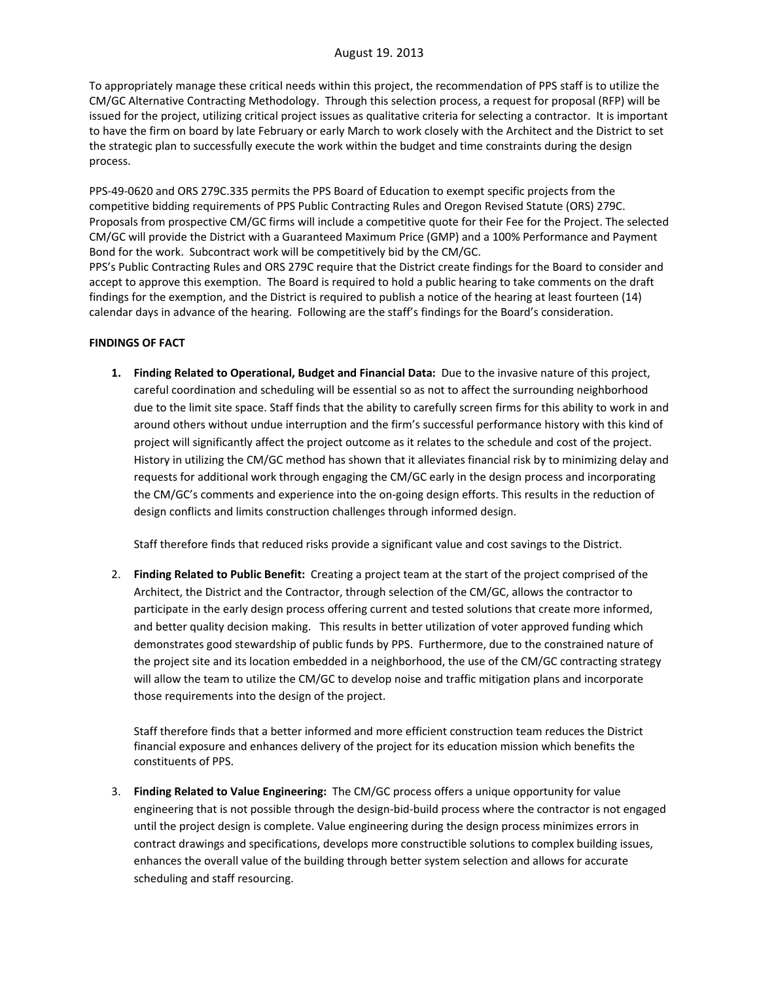To appropriately manage these critical needs within this project, the recommendation of PPS staff is to utilize the CM/GC Alternative Contracting Methodology. Through this selection process, a request for proposal (RFP) will be issued for the project, utilizing critical project issues as qualitative criteria for selecting a contractor. It is important to have the firm on board by late February or early March to work closely with the Architect and the District to set the strategic plan to successfully execute the work within the budget and time constraints during the design process.

PPS‐49‐0620 and ORS 279C.335 permits the PPS Board of Education to exempt specific projects from the competitive bidding requirements of PPS Public Contracting Rules and Oregon Revised Statute (ORS) 279C. Proposals from prospective CM/GC firms will include a competitive quote for their Fee for the Project. The selected CM/GC will provide the District with a Guaranteed Maximum Price (GMP) and a 100% Performance and Payment Bond for the work. Subcontract work will be competitively bid by the CM/GC.

PPS's Public Contracting Rules and ORS 279C require that the District create findings for the Board to consider and accept to approve this exemption. The Board is required to hold a public hearing to take comments on the draft findings for the exemption, and the District is required to publish a notice of the hearing at least fourteen (14) calendar days in advance of the hearing. Following are the staff's findings for the Board's consideration.

## **FINDINGS OF FACT**

**1. Finding Related to Operational, Budget and Financial Data:** Due to the invasive nature of this project, careful coordination and scheduling will be essential so as not to affect the surrounding neighborhood due to the limit site space. Staff finds that the ability to carefully screen firms for this ability to work in and around others without undue interruption and the firm's successful performance history with this kind of project will significantly affect the project outcome as it relates to the schedule and cost of the project. History in utilizing the CM/GC method has shown that it alleviates financial risk by to minimizing delay and requests for additional work through engaging the CM/GC early in the design process and incorporating the CM/GC's comments and experience into the on‐going design efforts. This results in the reduction of design conflicts and limits construction challenges through informed design.

Staff therefore finds that reduced risks provide a significant value and cost savings to the District.

2. **Finding Related to Public Benefit:** Creating a project team at the start of the project comprised of the Architect, the District and the Contractor, through selection of the CM/GC, allows the contractor to participate in the early design process offering current and tested solutions that create more informed, and better quality decision making. This results in better utilization of voter approved funding which demonstrates good stewardship of public funds by PPS. Furthermore, due to the constrained nature of the project site and its location embedded in a neighborhood, the use of the CM/GC contracting strategy will allow the team to utilize the CM/GC to develop noise and traffic mitigation plans and incorporate those requirements into the design of the project.

Staff therefore finds that a better informed and more efficient construction team reduces the District financial exposure and enhances delivery of the project for its education mission which benefits the constituents of PPS.

3. **Finding Related to Value Engineering:** The CM/GC process offers a unique opportunity for value engineering that is not possible through the design-bid-build process where the contractor is not engaged until the project design is complete. Value engineering during the design process minimizes errors in contract drawings and specifications, develops more constructible solutions to complex building issues, enhances the overall value of the building through better system selection and allows for accurate scheduling and staff resourcing.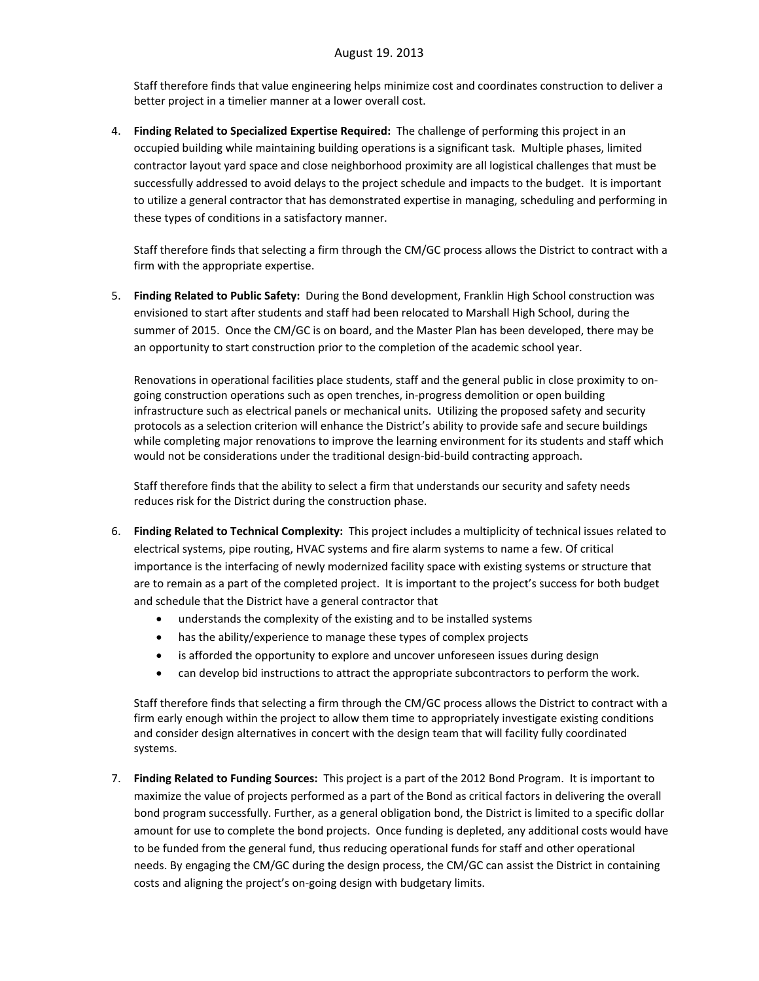Staff therefore finds that value engineering helps minimize cost and coordinates construction to deliver a better project in a timelier manner at a lower overall cost.

4. **Finding Related to Specialized Expertise Required:** The challenge of performing this project in an occupied building while maintaining building operations is a significant task. Multiple phases, limited contractor layout yard space and close neighborhood proximity are all logistical challenges that must be successfully addressed to avoid delays to the project schedule and impacts to the budget. It is important to utilize a general contractor that has demonstrated expertise in managing, scheduling and performing in these types of conditions in a satisfactory manner.

Staff therefore finds that selecting a firm through the CM/GC process allows the District to contract with a firm with the appropriate expertise.

5. **Finding Related to Public Safety:** During the Bond development, Franklin High School construction was envisioned to start after students and staff had been relocated to Marshall High School, during the summer of 2015. Once the CM/GC is on board, and the Master Plan has been developed, there may be an opportunity to start construction prior to the completion of the academic school year.

Renovations in operational facilities place students, staff and the general public in close proximity to on‐ going construction operations such as open trenches, in‐progress demolition or open building infrastructure such as electrical panels or mechanical units. Utilizing the proposed safety and security protocols as a selection criterion will enhance the District's ability to provide safe and secure buildings while completing major renovations to improve the learning environment for its students and staff which would not be considerations under the traditional design‐bid‐build contracting approach.

Staff therefore finds that the ability to select a firm that understands our security and safety needs reduces risk for the District during the construction phase.

- 6. **Finding Related to Technical Complexity:** This project includes a multiplicity of technical issues related to electrical systems, pipe routing, HVAC systems and fire alarm systems to name a few. Of critical importance is the interfacing of newly modernized facility space with existing systems or structure that are to remain as a part of the completed project. It is important to the project's success for both budget and schedule that the District have a general contractor that
	- understands the complexity of the existing and to be installed systems
	- has the ability/experience to manage these types of complex projects
	- is afforded the opportunity to explore and uncover unforeseen issues during design
	- can develop bid instructions to attract the appropriate subcontractors to perform the work.

Staff therefore finds that selecting a firm through the CM/GC process allows the District to contract with a firm early enough within the project to allow them time to appropriately investigate existing conditions and consider design alternatives in concert with the design team that will facility fully coordinated systems.

7. **Finding Related to Funding Sources:** This project is a part of the 2012 Bond Program. It is important to maximize the value of projects performed as a part of the Bond as critical factors in delivering the overall bond program successfully. Further, as a general obligation bond, the District is limited to a specific dollar amount for use to complete the bond projects. Once funding is depleted, any additional costs would have to be funded from the general fund, thus reducing operational funds for staff and other operational needs. By engaging the CM/GC during the design process, the CM/GC can assist the District in containing costs and aligning the project's on‐going design with budgetary limits.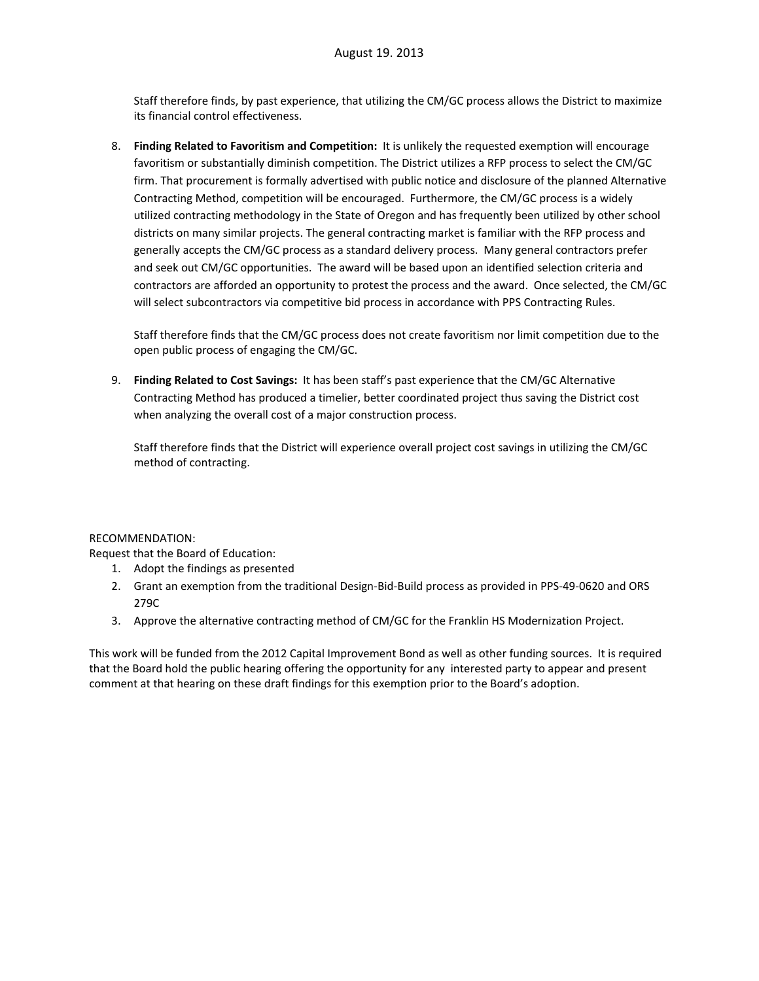Staff therefore finds, by past experience, that utilizing the CM/GC process allows the District to maximize its financial control effectiveness.

8. **Finding Related to Favoritism and Competition:** It is unlikely the requested exemption will encourage favoritism or substantially diminish competition. The District utilizes a RFP process to select the CM/GC firm. That procurement is formally advertised with public notice and disclosure of the planned Alternative Contracting Method, competition will be encouraged. Furthermore, the CM/GC process is a widely utilized contracting methodology in the State of Oregon and has frequently been utilized by other school districts on many similar projects. The general contracting market is familiar with the RFP process and generally accepts the CM/GC process as a standard delivery process. Many general contractors prefer and seek out CM/GC opportunities. The award will be based upon an identified selection criteria and contractors are afforded an opportunity to protest the process and the award. Once selected, the CM/GC will select subcontractors via competitive bid process in accordance with PPS Contracting Rules.

Staff therefore finds that the CM/GC process does not create favoritism nor limit competition due to the open public process of engaging the CM/GC.

9. **Finding Related to Cost Savings:** It has been staff's past experience that the CM/GC Alternative Contracting Method has produced a timelier, better coordinated project thus saving the District cost when analyzing the overall cost of a major construction process.

Staff therefore finds that the District will experience overall project cost savings in utilizing the CM/GC method of contracting.

#### RECOMMENDATION:

Request that the Board of Education:

- 1. Adopt the findings as presented
- 2. Grant an exemption from the traditional Design‐Bid‐Build process as provided in PPS‐49‐0620 and ORS 279C
- 3. Approve the alternative contracting method of CM/GC for the Franklin HS Modernization Project.

This work will be funded from the 2012 Capital Improvement Bond as well as other funding sources. It is required that the Board hold the public hearing offering the opportunity for any interested party to appear and present comment at that hearing on these draft findings for this exemption prior to the Board's adoption.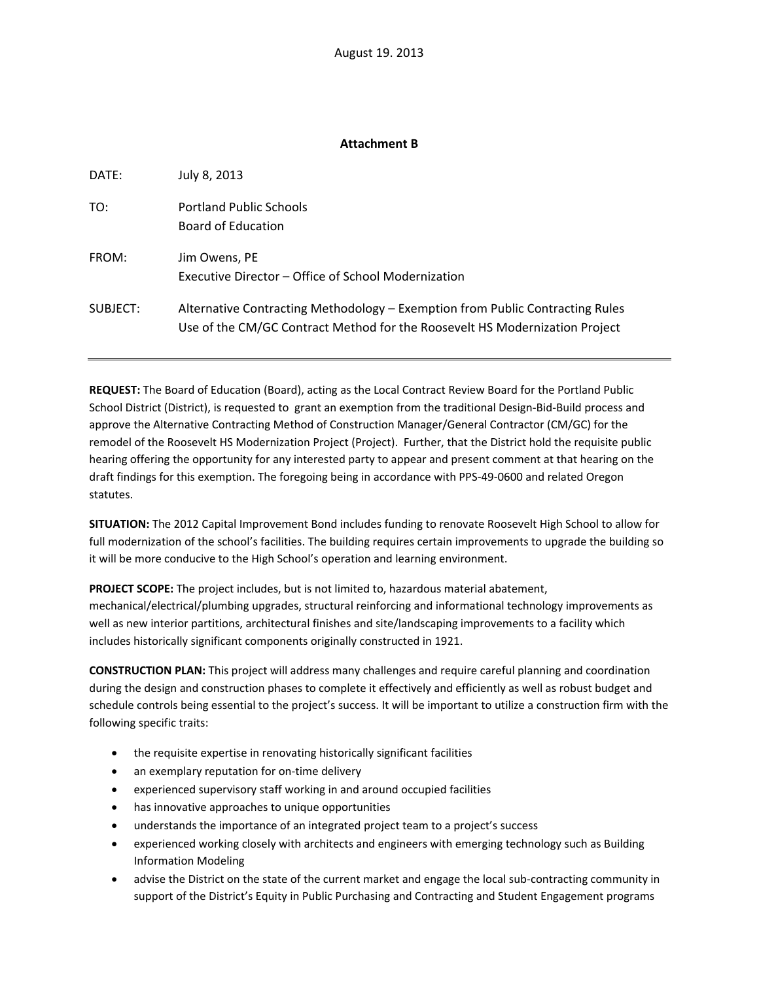## **Attachment B**

| DATE:    | July 8, 2013                                                                                                                                                 |
|----------|--------------------------------------------------------------------------------------------------------------------------------------------------------------|
| TO:      | <b>Portland Public Schools</b><br>Board of Education                                                                                                         |
| FROM:    | Jim Owens, PE<br>Executive Director – Office of School Modernization                                                                                         |
| SUBJECT: | Alternative Contracting Methodology – Exemption from Public Contracting Rules<br>Use of the CM/GC Contract Method for the Roosevelt HS Modernization Project |

**REQUEST:** The Board of Education (Board), acting as the Local Contract Review Board for the Portland Public School District (District), is requested to grant an exemption from the traditional Design‐Bid‐Build process and approve the Alternative Contracting Method of Construction Manager/General Contractor (CM/GC) for the remodel of the Roosevelt HS Modernization Project (Project). Further, that the District hold the requisite public hearing offering the opportunity for any interested party to appear and present comment at that hearing on the draft findings for this exemption. The foregoing being in accordance with PPS‐49‐0600 and related Oregon statutes.

**SITUATION:** The 2012 Capital Improvement Bond includes funding to renovate Roosevelt High School to allow for full modernization of the school's facilities. The building requires certain improvements to upgrade the building so it will be more conducive to the High School's operation and learning environment.

**PROJECT SCOPE:** The project includes, but is not limited to, hazardous material abatement, mechanical/electrical/plumbing upgrades, structural reinforcing and informational technology improvements as well as new interior partitions, architectural finishes and site/landscaping improvements to a facility which includes historically significant components originally constructed in 1921.

**CONSTRUCTION PLAN:** This project will address many challenges and require careful planning and coordination during the design and construction phases to complete it effectively and efficiently as well as robust budget and schedule controls being essential to the project's success. It will be important to utilize a construction firm with the following specific traits:

- the requisite expertise in renovating historically significant facilities
- an exemplary reputation for on-time delivery
- experienced supervisory staff working in and around occupied facilities
- has innovative approaches to unique opportunities
- understands the importance of an integrated project team to a project's success
- experienced working closely with architects and engineers with emerging technology such as Building Information Modeling
- advise the District on the state of the current market and engage the local sub-contracting community in support of the District's Equity in Public Purchasing and Contracting and Student Engagement programs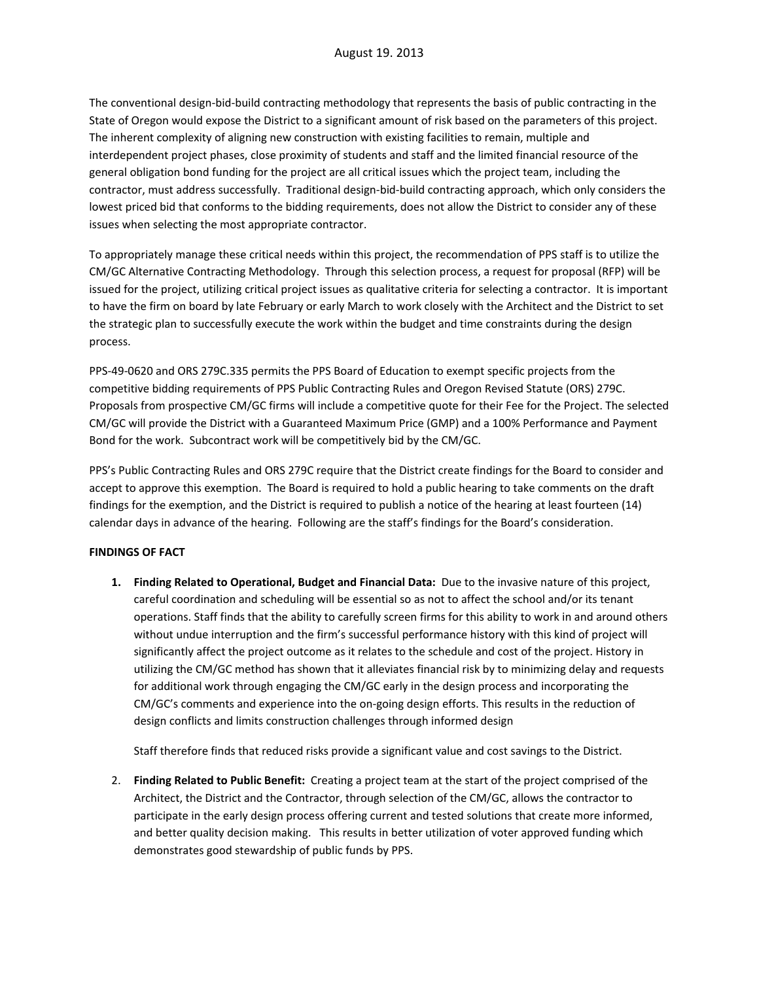The conventional design‐bid‐build contracting methodology that represents the basis of public contracting in the State of Oregon would expose the District to a significant amount of risk based on the parameters of this project. The inherent complexity of aligning new construction with existing facilities to remain, multiple and interdependent project phases, close proximity of students and staff and the limited financial resource of the general obligation bond funding for the project are all critical issues which the project team, including the contractor, must address successfully. Traditional design‐bid‐build contracting approach, which only considers the lowest priced bid that conforms to the bidding requirements, does not allow the District to consider any of these issues when selecting the most appropriate contractor.

To appropriately manage these critical needs within this project, the recommendation of PPS staff is to utilize the CM/GC Alternative Contracting Methodology. Through this selection process, a request for proposal (RFP) will be issued for the project, utilizing critical project issues as qualitative criteria for selecting a contractor. It is important to have the firm on board by late February or early March to work closely with the Architect and the District to set the strategic plan to successfully execute the work within the budget and time constraints during the design process.

PPS‐49‐0620 and ORS 279C.335 permits the PPS Board of Education to exempt specific projects from the competitive bidding requirements of PPS Public Contracting Rules and Oregon Revised Statute (ORS) 279C. Proposals from prospective CM/GC firms will include a competitive quote for their Fee for the Project. The selected CM/GC will provide the District with a Guaranteed Maximum Price (GMP) and a 100% Performance and Payment Bond for the work. Subcontract work will be competitively bid by the CM/GC.

PPS's Public Contracting Rules and ORS 279C require that the District create findings for the Board to consider and accept to approve this exemption. The Board is required to hold a public hearing to take comments on the draft findings for the exemption, and the District is required to publish a notice of the hearing at least fourteen (14) calendar days in advance of the hearing. Following are the staff's findings for the Board's consideration.

## **FINDINGS OF FACT**

**1. Finding Related to Operational, Budget and Financial Data:** Due to the invasive nature of this project, careful coordination and scheduling will be essential so as not to affect the school and/or its tenant operations. Staff finds that the ability to carefully screen firms for this ability to work in and around others without undue interruption and the firm's successful performance history with this kind of project will significantly affect the project outcome as it relates to the schedule and cost of the project. History in utilizing the CM/GC method has shown that it alleviates financial risk by to minimizing delay and requests for additional work through engaging the CM/GC early in the design process and incorporating the CM/GC's comments and experience into the on‐going design efforts. This results in the reduction of design conflicts and limits construction challenges through informed design

Staff therefore finds that reduced risks provide a significant value and cost savings to the District.

2. **Finding Related to Public Benefit:** Creating a project team at the start of the project comprised of the Architect, the District and the Contractor, through selection of the CM/GC, allows the contractor to participate in the early design process offering current and tested solutions that create more informed, and better quality decision making. This results in better utilization of voter approved funding which demonstrates good stewardship of public funds by PPS.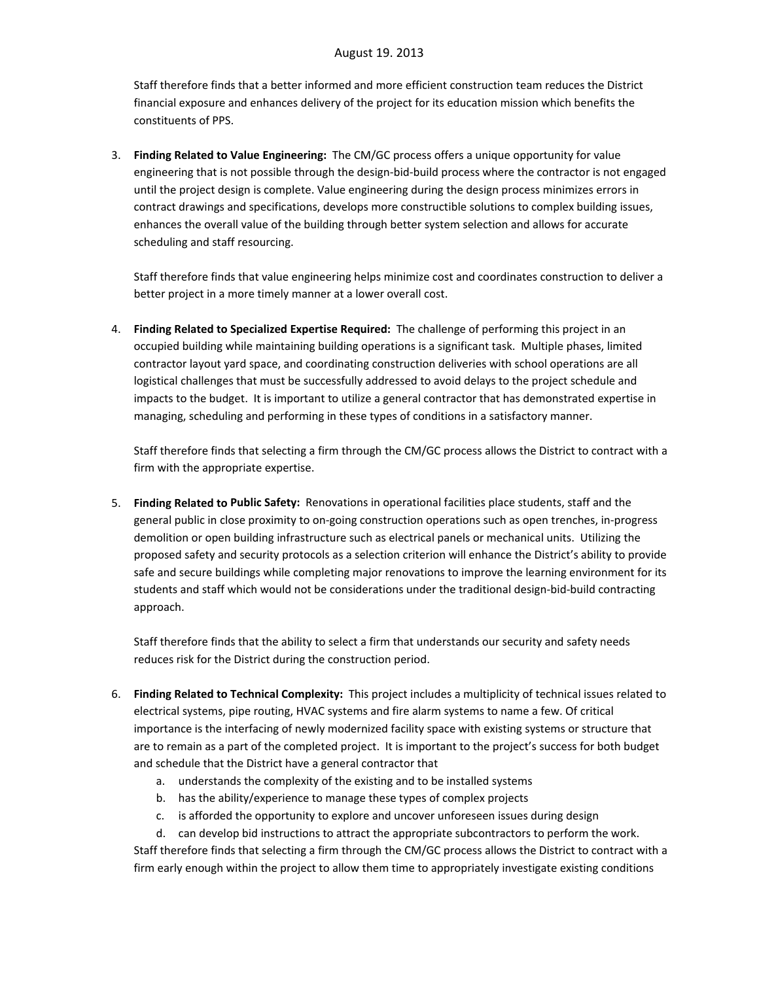Staff therefore finds that a better informed and more efficient construction team reduces the District financial exposure and enhances delivery of the project for its education mission which benefits the constituents of PPS.

3. **Finding Related to Value Engineering:** The CM/GC process offers a unique opportunity for value engineering that is not possible through the design-bid-build process where the contractor is not engaged until the project design is complete. Value engineering during the design process minimizes errors in contract drawings and specifications, develops more constructible solutions to complex building issues, enhances the overall value of the building through better system selection and allows for accurate scheduling and staff resourcing.

Staff therefore finds that value engineering helps minimize cost and coordinates construction to deliver a better project in a more timely manner at a lower overall cost.

4. **Finding Related to Specialized Expertise Required:** The challenge of performing this project in an occupied building while maintaining building operations is a significant task. Multiple phases, limited contractor layout yard space, and coordinating construction deliveries with school operations are all logistical challenges that must be successfully addressed to avoid delays to the project schedule and impacts to the budget. It is important to utilize a general contractor that has demonstrated expertise in managing, scheduling and performing in these types of conditions in a satisfactory manner.

Staff therefore finds that selecting a firm through the CM/GC process allows the District to contract with a firm with the appropriate expertise.

5. **Finding Related to Public Safety:** Renovations in operational facilities place students, staff and the general public in close proximity to on‐going construction operations such as open trenches, in‐progress demolition or open building infrastructure such as electrical panels or mechanical units. Utilizing the proposed safety and security protocols as a selection criterion will enhance the District's ability to provide safe and secure buildings while completing major renovations to improve the learning environment for its students and staff which would not be considerations under the traditional design‐bid‐build contracting approach.

Staff therefore finds that the ability to select a firm that understands our security and safety needs reduces risk for the District during the construction period.

- 6. **Finding Related to Technical Complexity:** This project includes a multiplicity of technical issues related to electrical systems, pipe routing, HVAC systems and fire alarm systems to name a few. Of critical importance is the interfacing of newly modernized facility space with existing systems or structure that are to remain as a part of the completed project. It is important to the project's success for both budget and schedule that the District have a general contractor that
	- a. understands the complexity of the existing and to be installed systems
	- b. has the ability/experience to manage these types of complex projects
	- c. is afforded the opportunity to explore and uncover unforeseen issues during design
	- d. can develop bid instructions to attract the appropriate subcontractors to perform the work.

Staff therefore finds that selecting a firm through the CM/GC process allows the District to contract with a firm early enough within the project to allow them time to appropriately investigate existing conditions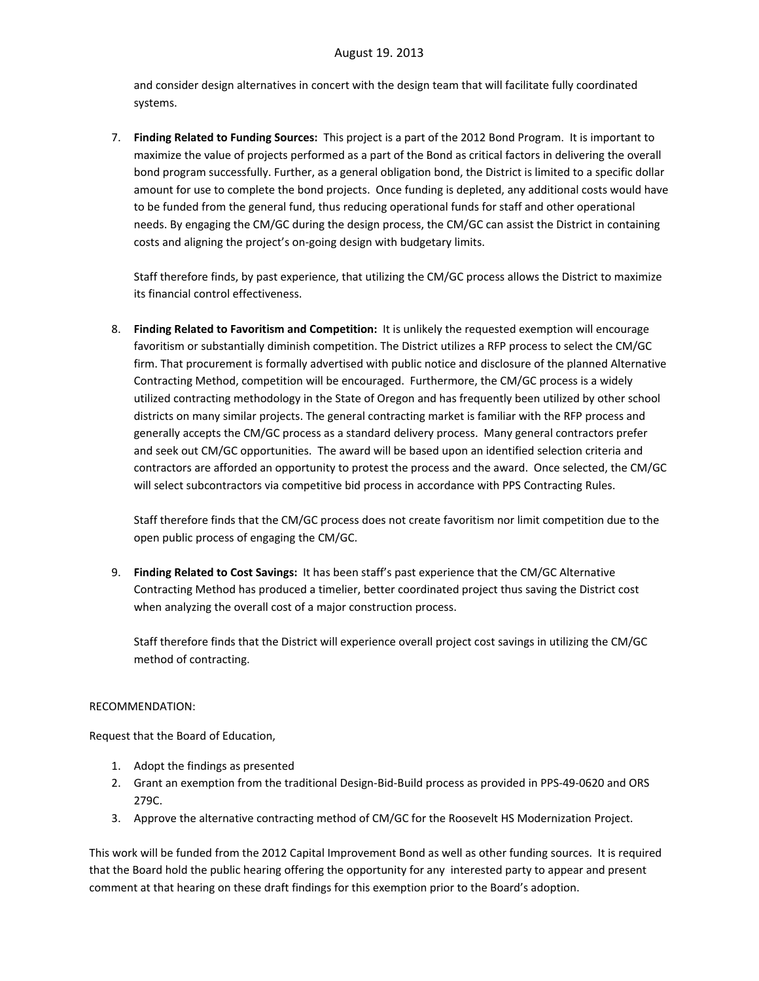and consider design alternatives in concert with the design team that will facilitate fully coordinated systems.

7. **Finding Related to Funding Sources:** This project is a part of the 2012 Bond Program. It is important to maximize the value of projects performed as a part of the Bond as critical factors in delivering the overall bond program successfully. Further, as a general obligation bond, the District is limited to a specific dollar amount for use to complete the bond projects. Once funding is depleted, any additional costs would have to be funded from the general fund, thus reducing operational funds for staff and other operational needs. By engaging the CM/GC during the design process, the CM/GC can assist the District in containing costs and aligning the project's on‐going design with budgetary limits.

Staff therefore finds, by past experience, that utilizing the CM/GC process allows the District to maximize its financial control effectiveness.

8. **Finding Related to Favoritism and Competition:** It is unlikely the requested exemption will encourage favoritism or substantially diminish competition. The District utilizes a RFP process to select the CM/GC firm. That procurement is formally advertised with public notice and disclosure of the planned Alternative Contracting Method, competition will be encouraged. Furthermore, the CM/GC process is a widely utilized contracting methodology in the State of Oregon and has frequently been utilized by other school districts on many similar projects. The general contracting market is familiar with the RFP process and generally accepts the CM/GC process as a standard delivery process. Many general contractors prefer and seek out CM/GC opportunities. The award will be based upon an identified selection criteria and contractors are afforded an opportunity to protest the process and the award. Once selected, the CM/GC will select subcontractors via competitive bid process in accordance with PPS Contracting Rules.

Staff therefore finds that the CM/GC process does not create favoritism nor limit competition due to the open public process of engaging the CM/GC.

9. **Finding Related to Cost Savings:** It has been staff's past experience that the CM/GC Alternative Contracting Method has produced a timelier, better coordinated project thus saving the District cost when analyzing the overall cost of a major construction process.

Staff therefore finds that the District will experience overall project cost savings in utilizing the CM/GC method of contracting.

## RECOMMENDATION:

Request that the Board of Education,

- 1. Adopt the findings as presented
- 2. Grant an exemption from the traditional Design‐Bid‐Build process as provided in PPS‐49‐0620 and ORS 279C.
- 3. Approve the alternative contracting method of CM/GC for the Roosevelt HS Modernization Project.

This work will be funded from the 2012 Capital Improvement Bond as well as other funding sources. It is required that the Board hold the public hearing offering the opportunity for any interested party to appear and present comment at that hearing on these draft findings for this exemption prior to the Board's adoption.